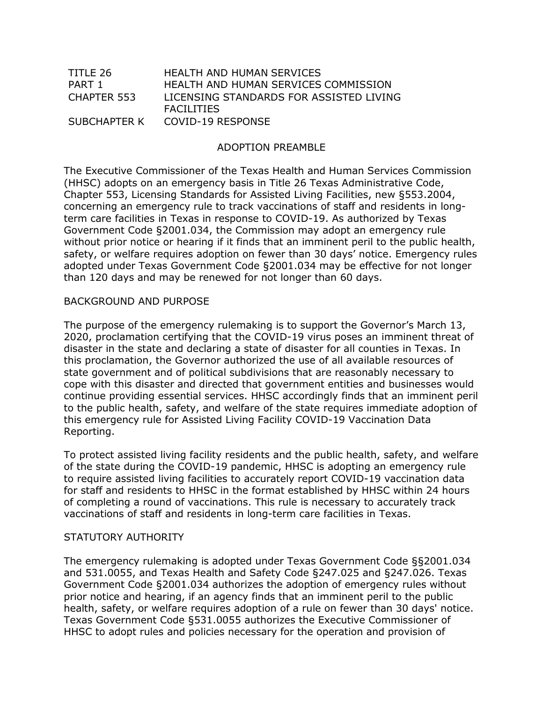| TITLE 26     | HEALTH AND HUMAN SERVICES                                    |
|--------------|--------------------------------------------------------------|
| PART 1       | HEALTH AND HUMAN SERVICES COMMISSION                         |
| CHAPTER 553  | LICENSING STANDARDS FOR ASSISTED LIVING<br><b>FACILITIES</b> |
| SUBCHAPTER K | COVID-19 RESPONSE                                            |

## ADOPTION PREAMBLE

The Executive Commissioner of the Texas Health and Human Services Commission (HHSC) adopts on an emergency basis in Title 26 Texas Administrative Code, Chapter 553, Licensing Standards for Assisted Living Facilities, new §553.2004, concerning an emergency rule to track vaccinations of staff and residents in longterm care facilities in Texas in response to COVID-19. As authorized by Texas Government Code §2001.034, the Commission may adopt an emergency rule without prior notice or hearing if it finds that an imminent peril to the public health, safety, or welfare requires adoption on fewer than 30 days' notice. Emergency rules adopted under Texas Government Code §2001.034 may be effective for not longer than 120 days and may be renewed for not longer than 60 days.

#### BACKGROUND AND PURPOSE

The purpose of the emergency rulemaking is to support the Governor's March 13, 2020, proclamation certifying that the COVID-19 virus poses an imminent threat of disaster in the state and declaring a state of disaster for all counties in Texas. In this proclamation, the Governor authorized the use of all available resources of state government and of political subdivisions that are reasonably necessary to cope with this disaster and directed that government entities and businesses would continue providing essential services. HHSC accordingly finds that an imminent peril to the public health, safety, and welfare of the state requires immediate adoption of this emergency rule for Assisted Living Facility COVID-19 Vaccination Data Reporting.

To protect assisted living facility residents and the public health, safety, and welfare of the state during the COVID-19 pandemic, HHSC is adopting an emergency rule to require assisted living facilities to accurately report COVID-19 vaccination data for staff and residents to HHSC in the format established by HHSC within 24 hours of completing a round of vaccinations. This rule is necessary to accurately track vaccinations of staff and residents in long-term care facilities in Texas.

#### STATUTORY AUTHORITY

The emergency rulemaking is adopted under Texas Government Code §§2001.034 and 531.0055, and Texas Health and Safety Code §247.025 and §247.026. Texas Government Code §2001.034 authorizes the adoption of emergency rules without prior notice and hearing, if an agency finds that an imminent peril to the public health, safety, or welfare requires adoption of a rule on fewer than 30 days' notice. Texas Government Code §531.0055 authorizes the Executive Commissioner of HHSC to adopt rules and policies necessary for the operation and provision of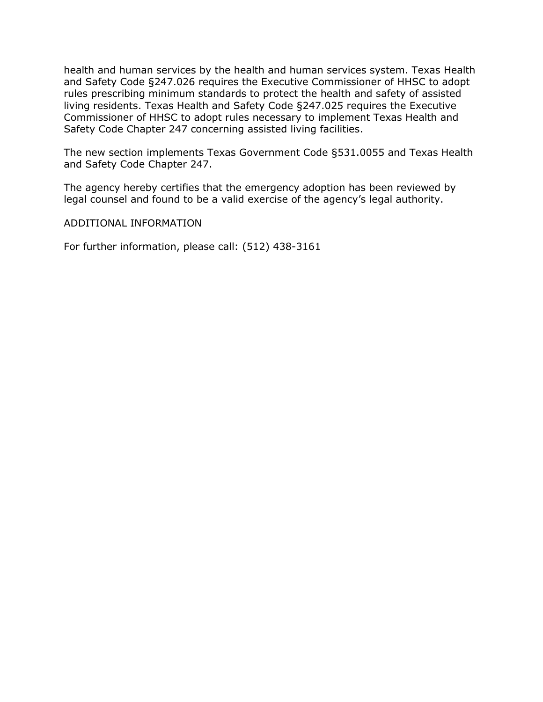health and human services by the health and human services system. Texas Health and Safety Code §247.026 requires the Executive Commissioner of HHSC to adopt rules prescribing minimum standards to protect the health and safety of assisted living residents. Texas Health and Safety Code §247.025 requires the Executive Commissioner of HHSC to adopt rules necessary to implement Texas Health and Safety Code Chapter 247 concerning assisted living facilities.

The new section implements Texas Government Code §531.0055 and Texas Health and Safety Code Chapter 247.

The agency hereby certifies that the emergency adoption has been reviewed by legal counsel and found to be a valid exercise of the agency's legal authority.

### ADDITIONAL INFORMATION

For further information, please call: (512) 438-3161